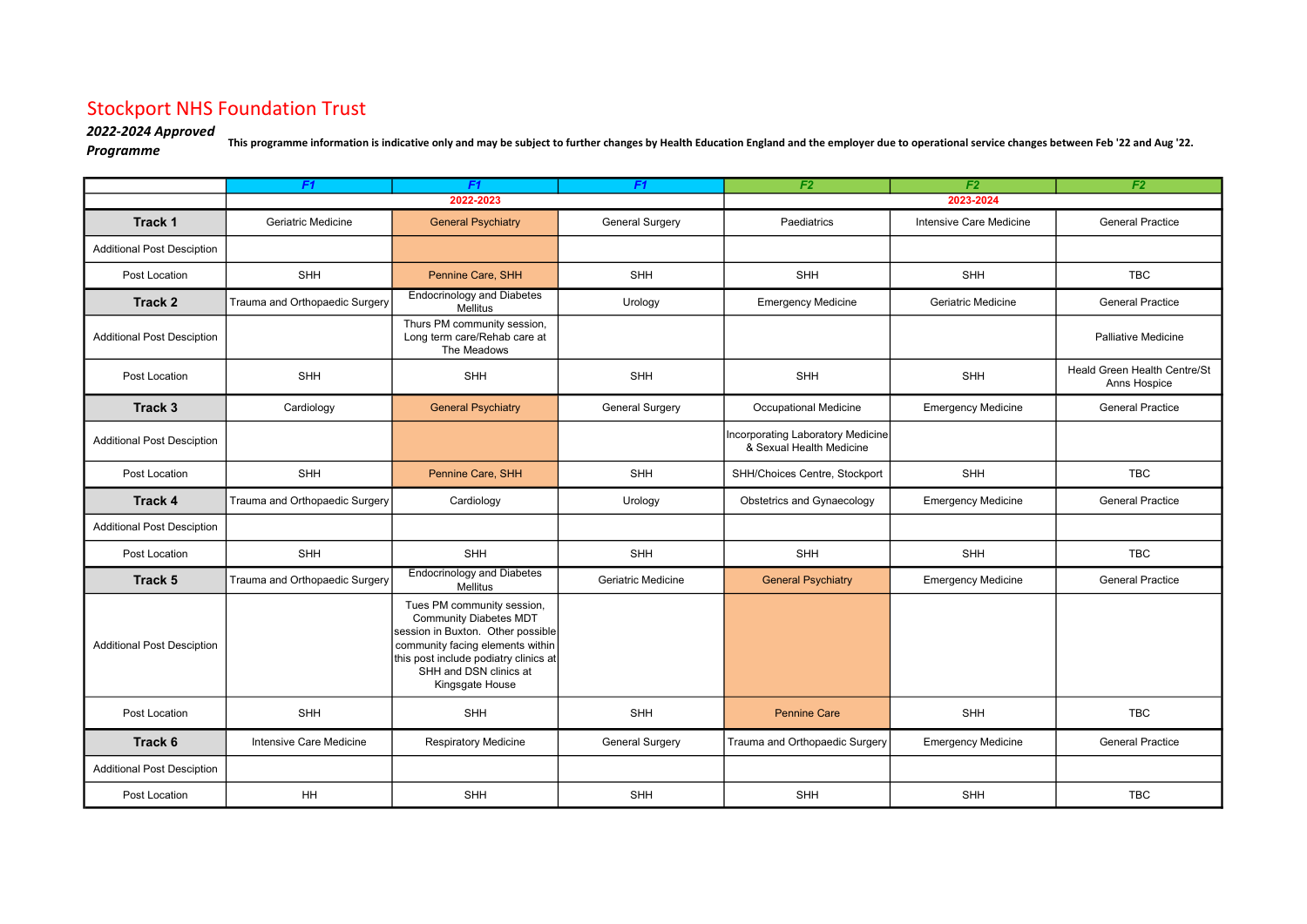## Stockport NHS Foundation Trust

## 2022-2024 Approved

2022-2024 Approved<br>Programme This programme information is indicative only and may be subject to further changes by Health Education England and the employer due to operational service changes between Feb '22 and Aug '22.<br>

|                                   | F <sub>1</sub>                 | F <sub>1</sub>                                                                                                                                                                                                             | F <sub>1</sub>         | F <sub>2</sub>                                                | F <sub>2</sub>            | F <sub>2</sub>                               |  |
|-----------------------------------|--------------------------------|----------------------------------------------------------------------------------------------------------------------------------------------------------------------------------------------------------------------------|------------------------|---------------------------------------------------------------|---------------------------|----------------------------------------------|--|
|                                   | 2022-2023                      |                                                                                                                                                                                                                            |                        | 2023-2024                                                     |                           |                                              |  |
| <b>Track 1</b>                    | Geriatric Medicine             | <b>General Psychiatry</b>                                                                                                                                                                                                  | <b>General Surgery</b> | Paediatrics                                                   | Intensive Care Medicine   | <b>General Practice</b>                      |  |
| <b>Additional Post Desciption</b> |                                |                                                                                                                                                                                                                            |                        |                                                               |                           |                                              |  |
| Post Location                     | <b>SHH</b>                     | Pennine Care, SHH                                                                                                                                                                                                          | <b>SHH</b>             | <b>SHH</b>                                                    | SHH                       | <b>TBC</b>                                   |  |
| <b>Track 2</b>                    | Trauma and Orthopaedic Surgery | <b>Endocrinology and Diabetes</b><br>Mellitus                                                                                                                                                                              | Urology                | <b>Emergency Medicine</b>                                     | Geriatric Medicine        | <b>General Practice</b>                      |  |
| <b>Additional Post Desciption</b> |                                | Thurs PM community session,<br>Long term care/Rehab care at<br>The Meadows                                                                                                                                                 |                        |                                                               |                           | <b>Palliative Medicine</b>                   |  |
| Post Location                     | <b>SHH</b>                     | <b>SHH</b>                                                                                                                                                                                                                 | <b>SHH</b>             | <b>SHH</b>                                                    | SHH                       | Heald Green Health Centre/St<br>Anns Hospice |  |
| Track 3                           | Cardiology                     | <b>General Psychiatry</b>                                                                                                                                                                                                  | <b>General Surgery</b> | <b>Occupational Medicine</b>                                  | <b>Emergency Medicine</b> | <b>General Practice</b>                      |  |
| <b>Additional Post Desciption</b> |                                |                                                                                                                                                                                                                            |                        | Incorporating Laboratory Medicine<br>& Sexual Health Medicine |                           |                                              |  |
| Post Location                     | <b>SHH</b>                     | Pennine Care, SHH                                                                                                                                                                                                          | <b>SHH</b>             | SHH/Choices Centre, Stockport                                 | SHH                       | <b>TBC</b>                                   |  |
| <b>Track 4</b>                    | Trauma and Orthopaedic Surgery | Cardiology                                                                                                                                                                                                                 | Urology                | <b>Obstetrics and Gynaecology</b>                             | <b>Emergency Medicine</b> | <b>General Practice</b>                      |  |
| <b>Additional Post Desciption</b> |                                |                                                                                                                                                                                                                            |                        |                                                               |                           |                                              |  |
| Post Location                     | <b>SHH</b>                     | SHH                                                                                                                                                                                                                        | <b>SHH</b>             | SHH                                                           | SHH                       | <b>TBC</b>                                   |  |
| Track 5                           | Trauma and Orthopaedic Surgery | <b>Endocrinology and Diabetes</b><br>Mellitus                                                                                                                                                                              | Geriatric Medicine     | <b>General Psychiatry</b>                                     | <b>Emergency Medicine</b> | <b>General Practice</b>                      |  |
| <b>Additional Post Desciption</b> |                                | Tues PM community session,<br><b>Community Diabetes MDT</b><br>session in Buxton. Other possible<br>community facing elements within<br>this post include podiatry clinics at<br>SHH and DSN clinics at<br>Kingsgate House |                        |                                                               |                           |                                              |  |
| Post Location                     | <b>SHH</b>                     | SHH                                                                                                                                                                                                                        | <b>SHH</b>             | <b>Pennine Care</b>                                           | <b>SHH</b>                | <b>TBC</b>                                   |  |
| Track 6                           | Intensive Care Medicine        | <b>Respiratory Medicine</b>                                                                                                                                                                                                | <b>General Surgery</b> | Trauma and Orthopaedic Surgery                                | <b>Emergency Medicine</b> | <b>General Practice</b>                      |  |
| <b>Additional Post Desciption</b> |                                |                                                                                                                                                                                                                            |                        |                                                               |                           |                                              |  |
| Post Location                     | HH                             | <b>SHH</b>                                                                                                                                                                                                                 | <b>SHH</b>             | <b>SHH</b>                                                    | SHH                       | <b>TBC</b>                                   |  |